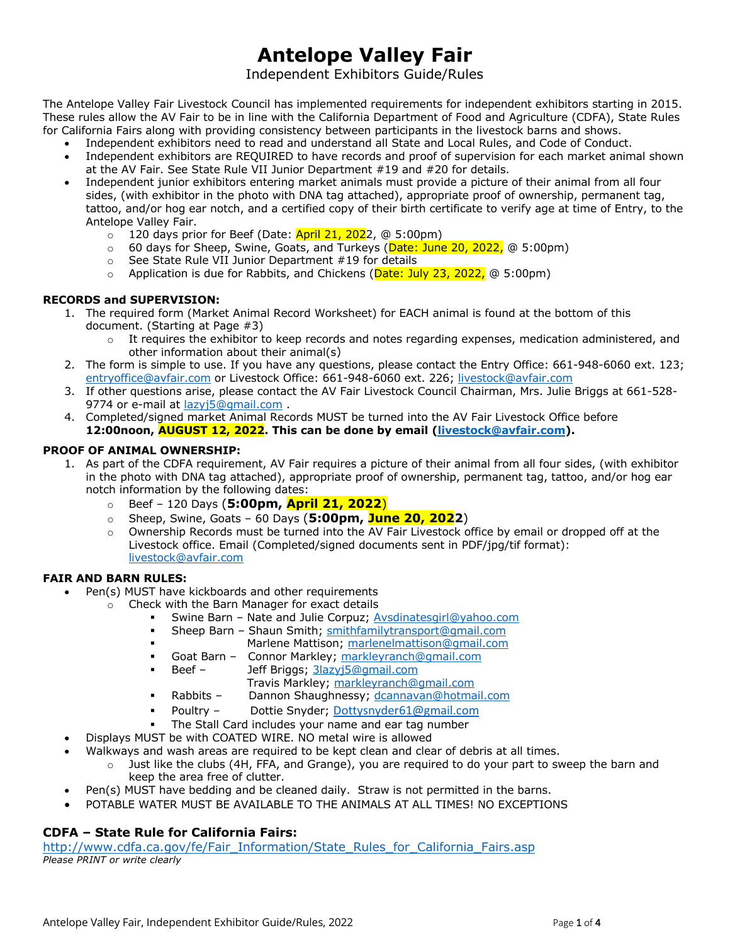# **Antelope Valley Fair**

## Independent Exhibitors Guide/Rules

The Antelope Valley Fair Livestock Council has implemented requirements for independent exhibitors starting in 2015. These rules allow the AV Fair to be in line with the California Department of Food and Agriculture (CDFA), State Rules for California Fairs along with providing consistency between participants in the livestock barns and shows.

- Independent exhibitors need to read and understand all State and Local Rules, and Code of Conduct.
- Independent exhibitors are REQUIRED to have records and proof of supervision for each market animal shown at the AV Fair. See State Rule VII Junior Department #19 and #20 for details.
- Independent junior exhibitors entering market animals must provide a picture of their animal from all four sides, (with exhibitor in the photo with DNA tag attached), appropriate proof of ownership, permanent tag, tattoo, and/or hog ear notch, and a certified copy of their birth certificate to verify age at time of Entry, to the Antelope Valley Fair.
	- $\circ$  120 days prior for Beef (Date: April 21, 2022, @ 5:00pm)
	- o 60 days for Sheep, Swine, Goats, and Turkeys (Date: June 20, 2022, @ 5:00pm)
	- o See State Rule VII Junior Department #19 for details
	- $\circ$  Application is due for Rabbits, and Chickens (Date: July 23, 2022,  $\circledcirc$  5:00pm)

## **RECORDS and SUPERVISION:**

- 1. The required form (Market Animal Record Worksheet) for EACH animal is found at the bottom of this document. (Starting at Page #3)
	- $\circ$  It requires the exhibitor to keep records and notes regarding expenses, medication administered, and other information about their animal(s)
- 2. The form is simple to use. If you have any questions, please contact the Entry Office: 661-948-6060 ext. 123; entryoffice@avfair.com or Livestock Office: 661-948-6060 ext. 226; livestock@avfair.com
- 3. If other questions arise, please contact the AV Fair Livestock Council Chairman, Mrs. Julie Briggs at 661-528- 9774 or e-mail at lazyj5@gmail.com .
- 4. Completed/signed market Animal Records MUST be turned into the AV Fair Livestock Office before **12:00noon, AUGUST 12, 2022. This can be done by email (livestock@avfair.com).**

## **PROOF OF ANIMAL OWNERSHIP:**

- 1. As part of the CDFA requirement, AV Fair requires a picture of their animal from all four sides, (with exhibitor in the photo with DNA tag attached), appropriate proof of ownership, permanent tag, tattoo, and/or hog ear notch information by the following dates:
	- o Beef 120 Days (**5:00pm, April 21, 2022**)
	- o Sheep, Swine, Goats 60 Days (**5:00pm, June 20, 2022**)
	- $\circ$  Ownership Records must be turned into the AV Fair Livestock office by email or dropped off at the Livestock office. Email (Completed/signed documents sent in PDF/jpg/tif format): livestock@avfair.com

### **FAIR AND BARN RULES:**

- Pen(s) MUST have kickboards and other requirements
	- o Check with the Barn Manager for exact details
		- Swine Barn Nate and Julie Corpuz; Avsdinatesgirl@yahoo.com
		- Sheep Barn Shaun Smith; smithfamilytransport@gmail.com
		- **Marlene Mattison; marlenelmattison@gmail.com**
		- **Goat Barn -** Connor Markley; markleyranch@gmail.com
		- Beef Jeff Briggs; 3lazyj5@gmail.com
			- Travis Markley; markleyranch@gmail.com
		- Rabbits Dannon Shaughnessy; dcannavan@hotmail.com
		- Poultry Dottie Snyder; Dottysnyder61@gmail.com
		- The Stall Card includes your name and ear tag number
- Displays MUST be with COATED WIRE. NO metal wire is allowed
- Walkways and wash areas are required to be kept clean and clear of debris at all times.
	- $\circ$  Just like the clubs (4H, FFA, and Grange), you are required to do your part to sweep the barn and keep the area free of clutter.
- Pen(s) MUST have bedding and be cleaned daily. Straw is not permitted in the barns.
- POTABLE WATER MUST BE AVAILABLE TO THE ANIMALS AT ALL TIMES! NO EXCEPTIONS

## **CDFA – State Rule for California Fairs:**

http://www.cdfa.ca.gov/fe/Fair\_Information/State\_Rules\_for\_California\_Fairs.asp *Please PRINT or write clearly*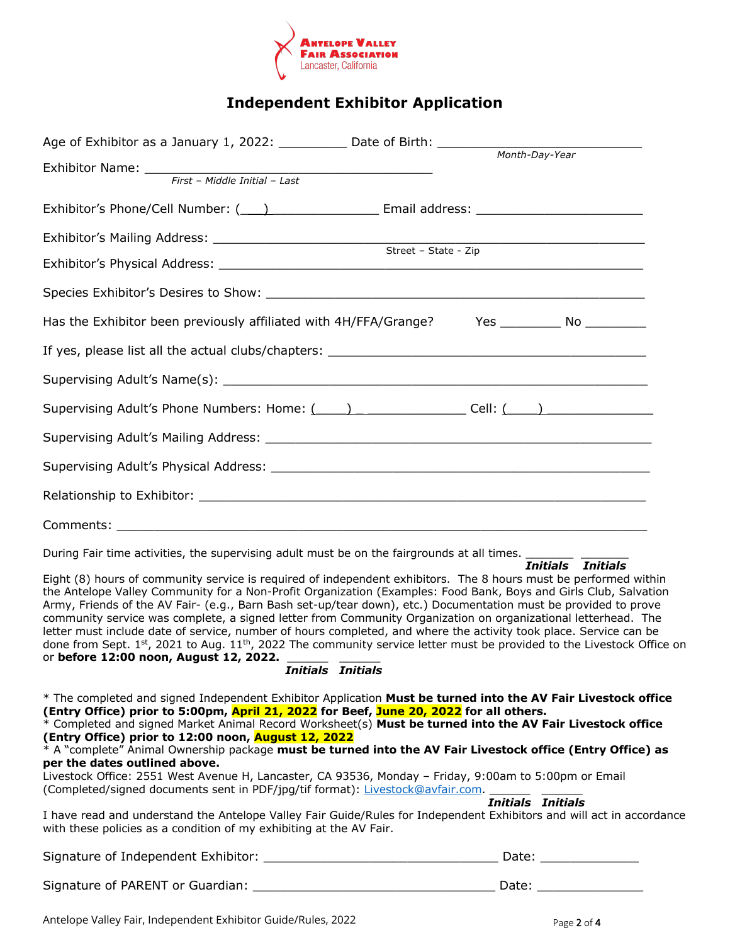

## **Independent Exhibitor Application**

| Age of Exhibitor as a January 1, 2022: $\_\_\_\_\_\_\_\_\_\_\_\$ Date of Birth: $\_\_\_\_\_\_\_\_\_\_$                                                                                                                                                                                                                                                                                                                                                                                                                                                                                                                                                                                                                                                                                                                                                                                                                                                              |  |
|---------------------------------------------------------------------------------------------------------------------------------------------------------------------------------------------------------------------------------------------------------------------------------------------------------------------------------------------------------------------------------------------------------------------------------------------------------------------------------------------------------------------------------------------------------------------------------------------------------------------------------------------------------------------------------------------------------------------------------------------------------------------------------------------------------------------------------------------------------------------------------------------------------------------------------------------------------------------|--|
|                                                                                                                                                                                                                                                                                                                                                                                                                                                                                                                                                                                                                                                                                                                                                                                                                                                                                                                                                                     |  |
|                                                                                                                                                                                                                                                                                                                                                                                                                                                                                                                                                                                                                                                                                                                                                                                                                                                                                                                                                                     |  |
| Exhibitor's Phone/Cell Number: (1992) 2020 [2012] Email address: 2020 [2012] 2020                                                                                                                                                                                                                                                                                                                                                                                                                                                                                                                                                                                                                                                                                                                                                                                                                                                                                   |  |
|                                                                                                                                                                                                                                                                                                                                                                                                                                                                                                                                                                                                                                                                                                                                                                                                                                                                                                                                                                     |  |
|                                                                                                                                                                                                                                                                                                                                                                                                                                                                                                                                                                                                                                                                                                                                                                                                                                                                                                                                                                     |  |
|                                                                                                                                                                                                                                                                                                                                                                                                                                                                                                                                                                                                                                                                                                                                                                                                                                                                                                                                                                     |  |
| Has the Exhibitor been previously affiliated with 4H/FFA/Grange? Yes _________ No ________                                                                                                                                                                                                                                                                                                                                                                                                                                                                                                                                                                                                                                                                                                                                                                                                                                                                          |  |
|                                                                                                                                                                                                                                                                                                                                                                                                                                                                                                                                                                                                                                                                                                                                                                                                                                                                                                                                                                     |  |
|                                                                                                                                                                                                                                                                                                                                                                                                                                                                                                                                                                                                                                                                                                                                                                                                                                                                                                                                                                     |  |
| Supervising Adult's Phone Numbers: Home: (1998) (1998) Cell: (29)                                                                                                                                                                                                                                                                                                                                                                                                                                                                                                                                                                                                                                                                                                                                                                                                                                                                                                   |  |
|                                                                                                                                                                                                                                                                                                                                                                                                                                                                                                                                                                                                                                                                                                                                                                                                                                                                                                                                                                     |  |
|                                                                                                                                                                                                                                                                                                                                                                                                                                                                                                                                                                                                                                                                                                                                                                                                                                                                                                                                                                     |  |
|                                                                                                                                                                                                                                                                                                                                                                                                                                                                                                                                                                                                                                                                                                                                                                                                                                                                                                                                                                     |  |
|                                                                                                                                                                                                                                                                                                                                                                                                                                                                                                                                                                                                                                                                                                                                                                                                                                                                                                                                                                     |  |
| During Fair time activities, the supervising adult must be on the fairgrounds at all times.<br>Initials Initials<br>Eight (8) hours of community service is required of independent exhibitors. The 8 hours must be performed within<br>the Antelope Valley Community for a Non-Profit Organization (Examples: Food Bank, Boys and Girls Club, Salvation<br>Army, Friends of the AV Fair- (e.g., Barn Bash set-up/tear down), etc.) Documentation must be provided to prove<br>community service was complete, a signed letter from Community Organization on organizational letterhead. The<br>letter must include date of service, number of hours completed, and where the activity took place. Service can be<br>done from Sept. 1st, 2021 to Aug. 11 <sup>th</sup> , 2022 The community service letter must be provided to the Livestock Office on<br>done from Sept. 1*, 2021 to may. 2<br>or <b>before 12:00 noon, August 12, 2022.</b><br>Thitials Thitials |  |
| * The completed and signed Independent Exhibitor Application Must be turned into the AV Fair Livestock office<br>(Entry Office) prior to 5:00pm, April 21, 2022 for Beef, June 20, 2022 for all others.<br>* Completed and signed Market Animal Record Worksheet(s) Must be turned into the AV Fair Livestock office<br>(Entry Office) prior to 12:00 noon, August 12, 2022<br>* A "complete" Animal Ownership package must be turned into the AV Fair Livestock office (Entry Office) as<br>per the dates outlined above.<br>Livestock Office: 2551 West Avenue H, Lancaster, CA 93536, Monday - Friday, 9:00am to 5:00pm or Email<br>(Completed/signed documents sent in PDF/jpg/tif format): Livestock@avfair.com.<br>Initials Initials<br>I have read and understand the Antelope Valley Fair Guide/Rules for Independent Exhibitors and will act in accordance<br>with these policies as a condition of my exhibiting at the AV Fair.                          |  |
|                                                                                                                                                                                                                                                                                                                                                                                                                                                                                                                                                                                                                                                                                                                                                                                                                                                                                                                                                                     |  |

Signature of Independent Exhibitor: \_\_\_\_\_\_\_\_\_\_\_\_\_\_\_\_\_\_\_\_\_\_\_\_\_\_\_\_\_\_\_ Date: \_\_\_\_\_\_\_\_\_\_\_\_\_

Signature of PARENT or Guardian: \_\_\_\_\_\_\_\_\_\_\_\_\_\_\_\_\_\_\_\_\_\_\_\_\_\_\_\_\_\_\_\_ Date: \_\_\_\_\_\_\_\_\_\_\_\_\_\_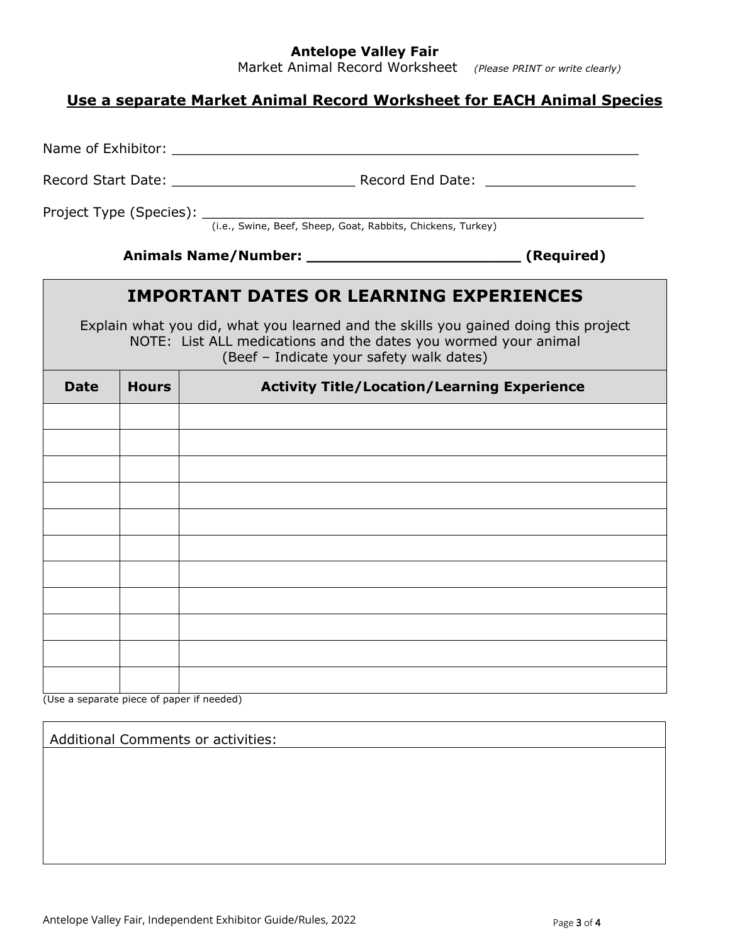## **Antelope Valley Fair**

Market Animal Record Worksheet *(Please PRINT or write clearly)*

## **Use a separate Market Animal Record Worksheet for EACH Animal Species**

Name of Exhibitor: **with a set of Exhibits of Exhibits of Australian** Record Start Date: \_\_\_\_\_\_\_\_\_\_\_\_\_\_\_\_\_\_\_\_\_\_ Record End Date: \_\_\_\_\_\_\_\_\_\_\_\_\_\_\_\_\_\_ Project Type (Species): \_\_\_\_\_\_\_\_\_\_\_\_\_\_\_\_\_\_\_\_\_\_\_\_\_\_\_\_\_\_\_\_\_\_\_\_\_\_\_\_\_\_\_\_\_\_\_\_\_\_\_\_\_ (i.e., Swine, Beef, Sheep, Goat, Rabbits, Chickens, Turkey) **Animals Name/Number: \_\_\_\_\_\_\_\_\_\_\_\_\_\_\_\_\_\_\_\_\_\_\_ (Required) IMPORTANT DATES OR LEARNING EXPERIENCES** Explain what you did, what you learned and the skills you gained doing this project NOTE: List ALL medications and the dates you wormed your animal (Beef – Indicate your safety walk dates) **Date Hours Activity Title/Location/Learning Experience**

(Use a separate piece of paper if needed)

Additional Comments or activities: